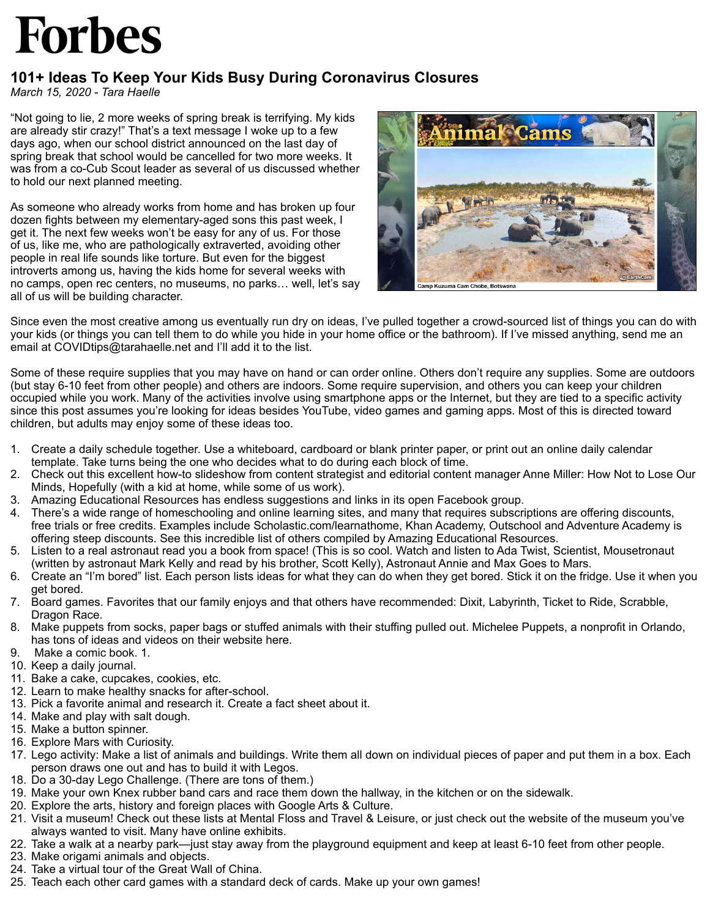## **Forbes**

## **101+ Ideas To Keep Your Kids Busy During Coronavirus Closures**

*March 15, 2020 - Tara Haelle*

"Not going to lie, 2 more weeks of spring break is terrifying. My kids are already stir crazy!" That's a text message I woke up to a few days ago, when our school district announced on the last day of spring break that school would be cancelled for two more weeks. It was from a co-Cub Scout leader as several of us discussed whether to hold our next planned meeting.

As someone who already works from home and has broken up four dozen fights between my elementary-aged sons this past week, I get it. The next few weeks won't be easy for any of us. For those of us, like me, who are pathologically extraverted, avoiding other people in real life sounds like torture. But even for the biggest introverts among us, having the kids home for several weeks with no camps, open rec centers, no museums, no parks… well, let's say all of us will be building character.



Since even the most creative among us eventually run dry on ideas, I've pulled together a crowd-sourced list of things you can do with your kids (or things you can tell them to do while you hide in your home office or the bathroom). If I've missed anything, send me an email at COVIDtips@tarahaelle.net and I'll add it to the list.

Some of these require supplies that you may have on hand or can order online. Others don't require any supplies. Some are outdoors (but stay 6-10 feet from other people) and others are indoors. Some require supervision, and others you can keep your children occupied while you work. Many of the activities involve using smartphone apps or the Internet, but they are tied to a specific activity since this post assumes you're looking for ideas besides YouTube, video games and gaming apps. Most of this is directed toward children, but adults may enjoy some of these ideas too.

- 1. Create a daily schedule together. Use a whiteboard, cardboard or blank printer paper, or print out an online daily calendar template. Take turns being the one who decides what to do during each block of time.
- 2. Check out this excellent how-to slideshow from content strategist and editorial content manager Anne Miller: How Not to Lose Our Minds, Hopefully (with a kid at home, while some of us work).
- 3. Amazing Educational Resources has endless suggestions and links in its open Facebook group.
- 4. There's a wide range of homeschooling and online learning sites, and many that requires subscriptions are offering discounts, free trials or free credits. Examples include Scholastic.com/learnathome, Khan Academy, Outschool and Adventure Academy is offering steep discounts. See this incredible list of others compiled by Amazing Educational Resources.
- 5. Listen to a real astronaut read you a book from space! (This is so cool. Watch and listen to Ada Twist, Scientist, Mousetronaut (written by astronaut Mark Kelly and read by his brother, Scott Kelly), Astronaut Annie and Max Goes to Mars.
- 6. Create an "I'm bored" list. Each person lists ideas for what they can do when they get bored. Stick it on the fridge. Use it when you get bored.
- 7. Board games. Favorites that our family enjoys and that others have recommended: Dixit, Labyrinth, Ticket to Ride, Scrabble, Dragon Race.
- 8. Make puppets from socks, paper bags or stuffed animals with their stuffing pulled out. Michelee Puppets, a nonprofit in Orlando, has tons of ideas and videos on their website here.
- 9. Make a comic book. 1.
- 10. Keep a daily journal.
- 11. Bake a cake, cupcakes, cookies, etc.
- 12. Learn to make healthy snacks for after-school.
- 13. Pick a favorite animal and research it. Create a fact sheet about it.
- 14. Make and play with salt dough.
- 15. Make a button spinner.
- 16. Explore Mars with Curiosity.
- 17. Lego activity: Make a list of animals and buildings. Write them all down on individual pieces of paper and put them in a box. Each person draws one out and has to build it with Legos.
- 18. Do a 30-day Lego Challenge. (There are tons of them.)
- 19. Make your own Knex rubber band cars and race them down the hallway, in the kitchen or on the sidewalk.
- 20. Explore the arts, history and foreign places with Google Arts & Culture.
- 21. Visit a museum! Check out these lists at Mental Floss and Travel & Leisure, or just check out the website of the museum you've always wanted to visit. Many have online exhibits.
- 22. Take a walk at a nearby park—just stay away from the playground equipment and keep at least 6-10 feet from other people.
- 23. Make origami animals and objects.
- 24. Take a virtual tour of the Great Wall of China.
- 25. Teach each other card games with a standard deck of cards. Make up your own games!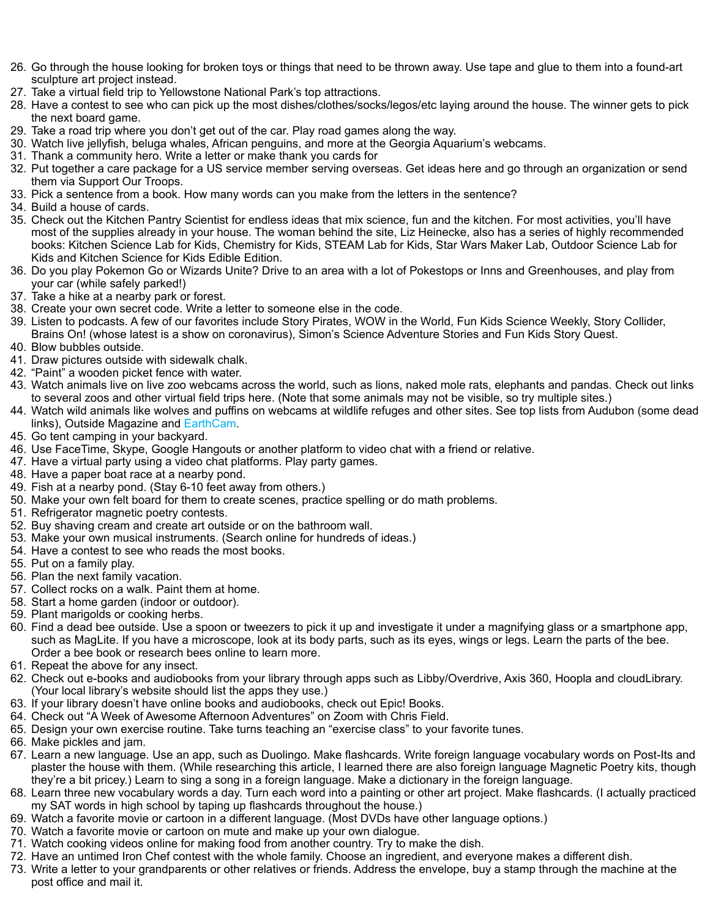- 26. Go through the house looking for broken toys or things that need to be thrown away. Use tape and glue to them into a found-art sculpture art project instead.
- 27. Take a virtual field trip to Yellowstone National Park's top attractions.
- 28. Have a contest to see who can pick up the most dishes/clothes/socks/legos/etc laying around the house. The winner gets to pick the next board game.
- 29. Take a road trip where you don't get out of the car. Play road games along the way.
- 30. Watch live jellyfish, beluga whales, African penguins, and more at the Georgia Aquarium's webcams.
- 31. Thank a community hero. Write a letter or make thank you cards for
- 32. Put together a care package for a US service member serving overseas. Get ideas here and go through an organization or send them via Support Our Troops.
- 33. Pick a sentence from a book. How many words can you make from the letters in the sentence?
- 34. Build a house of cards.
- 35. Check out the Kitchen Pantry Scientist for endless ideas that mix science, fun and the kitchen. For most activities, you'll have most of the supplies already in your house. The woman behind the site, Liz Heinecke, also has a series of highly recommended books: Kitchen Science Lab for Kids, Chemistry for Kids, STEAM Lab for Kids, Star Wars Maker Lab, Outdoor Science Lab for Kids and Kitchen Science for Kids Edible Edition.
- 36. Do you play Pokemon Go or Wizards Unite? Drive to an area with a lot of Pokestops or Inns and Greenhouses, and play from your car (while safely parked!)
- 37. Take a hike at a nearby park or forest.
- 38. Create your own secret code. Write a letter to someone else in the code.
- 39. Listen to podcasts. A few of our favorites include Story Pirates, WOW in the World, Fun Kids Science Weekly, Story Collider, Brains On! (whose latest is a show on coronavirus), Simon's Science Adventure Stories and Fun Kids Story Quest. 40. Blow bubbles outside.
- 
- 41. Draw pictures outside with sidewalk chalk. 42. "Paint" a wooden picket fence with water.
- 43. Watch animals live on live zoo webcams across the world, such as lions, naked mole rats, elephants and pandas. Check out links to several zoos and other virtual field trips here. (Note that some animals may not be visible, so try multiple sites.)
- 44. Watch wild animals like wolves and puffins on webcams at wildlife refuges and other sites. See top lists from Audubon (some dead links), Outside Magazine and [EarthCam.](https://www.earthcam.com/events/animalcams/)
- 45. Go tent camping in your backyard.
- 46. Use FaceTime, Skype, Google Hangouts or another platform to video chat with a friend or relative.
- 47. Have a virtual party using a video chat platforms. Play party games.
- 48. Have a paper boat race at a nearby pond.
- 49. Fish at a nearby pond. (Stay 6-10 feet away from others.)
- 50. Make your own felt board for them to create scenes, practice spelling or do math problems.
- 51. Refrigerator magnetic poetry contests.
- 52. Buy shaving cream and create art outside or on the bathroom wall.
- 53. Make your own musical instruments. (Search online for hundreds of ideas.)
- 54. Have a contest to see who reads the most books.
- 55. Put on a family play.
- 56. Plan the next family vacation.
- 57. Collect rocks on a walk. Paint them at home.
- 58. Start a home garden (indoor or outdoor).
- 59. Plant marigolds or cooking herbs.
- 60. Find a dead bee outside. Use a spoon or tweezers to pick it up and investigate it under a magnifying glass or a smartphone app, such as MagLite. If you have a microscope, look at its body parts, such as its eyes, wings or legs. Learn the parts of the bee. Order a bee book or research bees online to learn more.
- 61. Repeat the above for any insect.
- 62. Check out e-books and audiobooks from your library through apps such as Libby/Overdrive, Axis 360, Hoopla and cloudLibrary. (Your local library's website should list the apps they use.)
- 63. If your library doesn't have online books and audiobooks, check out Epic! Books.
- 64. Check out "A Week of Awesome Afternoon Adventures" on Zoom with Chris Field.
- 65. Design your own exercise routine. Take turns teaching an "exercise class" to your favorite tunes.
- 66. Make pickles and jam.
- 67. Learn a new language. Use an app, such as Duolingo. Make flashcards. Write foreign language vocabulary words on Post-Its and plaster the house with them. (While researching this article, I learned there are also foreign language Magnetic Poetry kits, though they're a bit pricey.) Learn to sing a song in a foreign language. Make a dictionary in the foreign language.
- 68. Learn three new vocabulary words a day. Turn each word into a painting or other art project. Make flashcards. (I actually practiced my SAT words in high school by taping up flashcards throughout the house.)
- 69. Watch a favorite movie or cartoon in a different language. (Most DVDs have other language options.)
- 70. Watch a favorite movie or cartoon on mute and make up your own dialogue.
- 71. Watch cooking videos online for making food from another country. Try to make the dish.
- 72. Have an untimed Iron Chef contest with the whole family. Choose an ingredient, and everyone makes a different dish.
- 73. Write a letter to your grandparents or other relatives or friends. Address the envelope, buy a stamp through the machine at the post office and mail it.